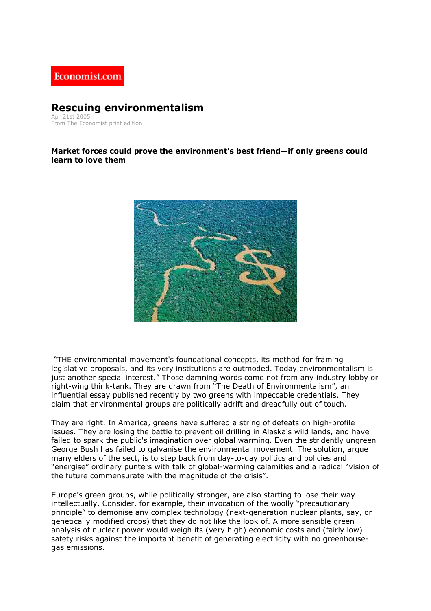

## **Rescuing environmentalism**

Apr 21st 2005 From The Economist print edition

## **Market forces could prove the environment's best friend—if only greens could learn to love them**



 "THE environmental movement's foundational concepts, its method for framing legislative proposals, and its very institutions are outmoded. Today environmentalism is just another special interest." Those damning words come not from any industry lobby or right-wing think-tank. They are drawn from "The Death of Environmentalism", an influential essay published recently by two greens with impeccable credentials. They claim that environmental groups are politically adrift and dreadfully out of touch.

They are right. In America, greens have suffered a string of defeats on high-profile issues. They are losing the battle to prevent oil drilling in Alaska's wild lands, and have failed to spark the public's imagination over global warming. Even the stridently ungreen George Bush has failed to galvanise the environmental movement. The solution, argue many elders of the sect, is to step back from day-to-day politics and policies and "energise" ordinary punters with talk of global-warming calamities and a radical "vision of the future commensurate with the magnitude of the crisis".

Europe's green groups, while politically stronger, are also starting to lose their way intellectually. Consider, for example, their invocation of the woolly "precautionary principle" to demonise any complex technology (next-generation nuclear plants, say, or genetically modified crops) that they do not like the look of. A more sensible green analysis of nuclear power would weigh its (very high) economic costs and (fairly low) safety risks against the important benefit of generating electricity with no greenhousegas emissions.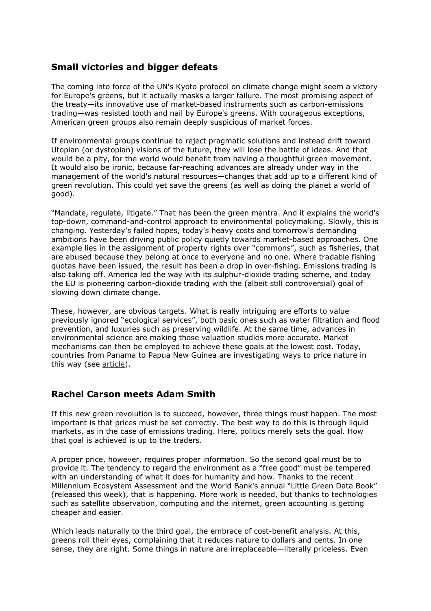## **Small victories and bigger defeats**

The coming into force of the UN's Kyoto protocol on climate change might seem a victory for Europe's greens, but it actually masks a larger failure. The most promising aspect of the treaty—its innovative use of market-based instruments such as carbon-emissions trading—was resisted tooth and nail by Europe's greens. With courageous exceptions, American green groups also remain deeply suspicious of market forces.

If environmental groups continue to reject pragmatic solutions and instead drift toward Utopian (or dystopian) visions of the future, they will lose the battle of ideas. And that would be a pity, for the world would benefit from having a thoughtful green movement. It would also be ironic, because far-reaching advances are already under way in the management of the world's natural resources—changes that add up to a different kind of green revolution. This could yet save the greens (as well as doing the planet a world of good).

"Mandate, regulate, litigate." That has been the green mantra. And it explains the world's top-down, command-and-control approach to environmental policymaking. Slowly, this is changing. Yesterday's failed hopes, today's heavy costs and tomorrow's demanding ambitions have been driving public policy quietly towards market-based approaches. One example lies in the assignment of property rights over "commons", such as fisheries, that are abused because they belong at once to everyone and no one. Where tradable fishing quotas have been issued, the result has been a drop in over-fishing. Emissions trading is also taking off. America led the way with its sulphur-dioxide trading scheme, and today the EU is pioneering carbon-dioxide trading with the (albeit still controversial) goal of slowing down climate change.

These, however, are obvious targets. What is really intriguing are efforts to value previously ignored "ecological services", both basic ones such as water filtration and flood prevention, and luxuries such as preserving wildlife. At the same time, advances in environmental science are making those valuation studies more accurate. Market mechanisms can then be employed to achieve these goals at the lowest cost. Today, countries from Panama to Papua New Guinea are investigating ways to price nature in this way (see article).

## **Rachel Carson meets Adam Smith**

If this new green revolution is to succeed, however, three things must happen. The most important is that prices must be set correctly. The best way to do this is through liquid markets, as in the case of emissions trading. Here, politics merely sets the goal. How that goal is achieved is up to the traders.

A proper price, however, requires proper information. So the second goal must be to provide it. The tendency to regard the environment as a "free good" must be tempered with an understanding of what it does for humanity and how. Thanks to the recent Millennium Ecosystem Assessment and the World Bank's annual "Little Green Data Book" (released this week), that is happening. More work is needed, but thanks to technologies such as satellite observation, computing and the internet, green accounting is getting cheaper and easier.

Which leads naturally to the third goal, the embrace of cost-benefit analysis. At this, greens roll their eyes, complaining that it reduces nature to dollars and cents. In one sense, they are right. Some things in nature are irreplaceable—literally priceless. Even